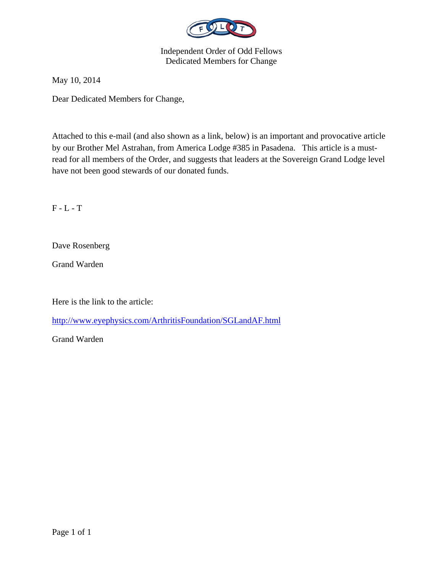

# Independent Order of Odd Fellows Dedicated Members for Change

May 10, 2014

Dear Dedicated Members for Change,

Attached to this e-mail (and also shown as a link, below) is an important and provocative article by our Brother Mel Astrahan, from America Lodge #385 in Pasadena. This article is a mustread for all members of the Order, and suggests that leaders at the Sovereign Grand Lodge level have not been good stewards of our donated funds.

F - L - T

Dave Rosenberg

Grand Warden

Here is the link to the article:

http://www.eyephysics.com/ArthritisFoundation/SGLandAF.html

Grand Warden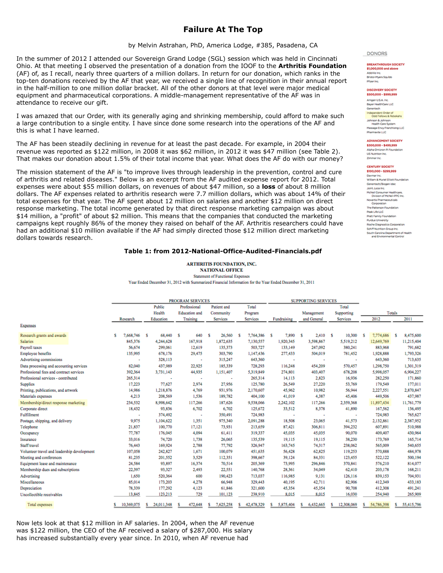## **Failure At The Top**

by Melvin Astrahan, PhD, America Lodge, #385, Pasadena, CA

In the summer of 2012 I attended our Sovereign Grand Lodge (SGL) session which was held in Cincinnati Ohio. At that meeting I observed the presentation of a donation from the IOOF to the **Arthritis Foundation** (AF) of, as I recall, nearly three quarters of a million dollars. In return for our donation, which ranks in the top-ten donations received by the AF that year, we received a single line of recognition in their annual report in the half-million to one million dollar bracket. All of the other donors at that level were major medical equipment and pharmaceutical corporations. A middle-management representative of the AF was in attendance to receive our gift.

I was amazed that our Order, with its generally aging and shrinking membership, could afford to make such a large contribution to a single entity. I have since done some research into the operations of the AF and this is what I have learned.

The AF has been steadily declining in revenue for at least the past decade. For example, in 2004 their revenue was reported as \$122 million, in 2008 it was \$62 million, in 2012 it was \$47 million (see Table 2). That makes our donation about 1.5% of their total income that year. What does the AF do with our money?

The mission statement of the AF is "to improve lives through leadership in the prevention, control and cure of arthritis and related diseases." Below is an excerpt from the AF audited expense report for 2012. Total expenses were about \$55 million dollars, on revenues of about \$47 million, so a **loss** of about 8 million dollars. The AF expenses related to arthritis research were 7.7 million dollars, which was about 14% of their total expenses for that year. The AF spent about 12 million on salaries and another \$12 million on direct response marketing. The total income generated by that direct response marketing campaign was about \$14 million, a "profit" of about \$2 million. This means that the companies that conducted the marketing campaigns kept roughly 86% of the money they raised on behalf of the AF. Arthritis researchers could have had an additional \$10 million available if the AF had simply directed those \$12 million direct marketing dollars towards research.

### **Table 1: from 2012-National-Office-Audited-Financials.pdf**

**ARTHRITIS FOUNDATION, INC. NATIONAL OFFICE Statement of Functional Expenses** 

Year Ended December 31, 2012 with Summarized Financial Information for the Year Ended December 31, 2011

|                                             | <b>PROGRAM SERVICES</b> |                 |                      |                 |                   | <b>SUPPORTING SERVICES</b> |                |                 |                  |                 |
|---------------------------------------------|-------------------------|-----------------|----------------------|-----------------|-------------------|----------------------------|----------------|-----------------|------------------|-----------------|
|                                             |                         | Public          | Professional         | Patient and     | Total             |                            |                | Total           |                  |                 |
|                                             |                         | Health          | <b>Education</b> and | Community       | Program           |                            | Management     | Supporting      |                  | Totals          |
|                                             | Research                | Education       | Training             | <b>Services</b> | <b>Services</b>   | Fundraising                | and General    | <b>Services</b> | 2012             | 2011            |
| <b>Expenses</b>                             |                         |                 |                      |                 |                   |                            |                |                 |                  |                 |
| Research grants and awards                  | 7,668,746<br>s          | 68,440<br>-S    | 640<br>- S           | s<br>26,560     | 7,764,386 S<br>-S | 7,890 S                    | 2,410 S        | 10,300          | 7,774,686<br>s   | 8,475,600<br>-S |
| <b>Salaries</b>                             | 845,376                 | 4,244,628       | 167,918              | 1,872,635       | 7,130,557         | 1,920,345                  | 3,598,867      | 5,519,212       | 12,649,769       | 11,215,404      |
| Payroll taxes                               | 56,674                  | 299,061         | 12,619               | 135,373         | 503,727           | 133,149                    | 247,092        | 380,241         | 883,968          | 791,682         |
| <b>Employee benefits</b>                    | 135,995                 | 678,176         | 29,475               | 303,790         | 1,147,436         | 277,433                    | 504,019        | 781,452         | 1,928,888        | 1,793,326       |
| Advertising commissions                     |                         | 328,113         | ٠                    | 315,247         | 643,360           | ٠                          | ٠              | ٠               | 643,360          | 713,635         |
| Data processing and accounting services     | 82,040                  | 437,989         | 22,925               | 185,339         | 728,293           | 116,248                    | 454,209        | 570,457         | 1,298,750        | 1,301,319       |
| Professional fees and contract services     | 392,364                 | 3,731,143       | 44,935               | 1,151,407       | 5,319,849         | 274,801                    | 403,407        | 678,208         | 5,998,057        | 6,904,227       |
| Professional services - contributed         | 265,314                 |                 | ٠                    | $\blacksquare$  | 265,314           | 14,113                     | 2,823          | 16,936          | 282,250          | 171,860         |
| <b>Supplies</b>                             | 17,223                  | 77,627          | 2,974                | 27,956          | 125,780           | 26,549                     | 27,220         | 53,769          | 179,549          | 177,011         |
| Printing, publications, and artwork         | 14,986                  | 1,218,876       | 4,769                | 931,976         | 2,170,607         | 45,962                     | 10,982         | 56,944          | 2,227,551        | 2,870,847       |
| Materials expenses                          | 4,213                   | 208,569         | 1,536                | 189,782         | 404,100           | 41,019                     | 4,387          | 45,406          | 449,506          | 437,987         |
| Membership/direct response marketing        | 234.532                 | 8,998,642       | 117,266              | 187,626         | 9,538,066         | 2,242,102                  | 117,266        | 2,359,368       | 11,897,434       | 11,761,779      |
| Corporate direct                            | 18,432                  | 93,836          | 6,702                | 6,702           | 125,672           | 33,512                     | 8,378          | 41,890          | 167,562          | 136,495         |
| Fulfillment                                 | ٠                       | 374,492         | ٠                    | 350,491         | 724,983           |                            | ٠              | ٠               | 724,983          | 765,627         |
| Postage, shipping, and delivery             | 9,975                   | 1,104,622       | 1,351                | 975,340         | 2,091,288         | 18,508                     | 23,065         | 41,573          | 2,132,861        | 2,387,952       |
| Telephone                                   | 21,837                  | 100,770         | 17,121               | 73,931          | 213,659           | 87,421                     | 306,811        | 394,232         | 607,891          | 510,988         |
| Occupancy                                   | 77,787                  | 176,045         | 4,094                | 61,411          | 319,337           | 45,035                     | 45,035         | 90,070          | 409,407          | 430,964         |
| Insurance                                   | 33,016                  | 74,720          | 1,738                | 26,065          | 135,539           | 19,115                     | 19,115         | 38.230          | 173,769          | 165,714         |
| Staff travel                                | 76,443                  | 169,924         | 2,788                | 77,792          | 326,947           | 163,745                    | 74,317         | 238,062         | 565,009          | 540,655         |
| Volunteer travel and leadership development | 107,058                 | 242,827         | 1,671                | 100,079         | 451,635           | 56,428                     | 62,825         | 119,253         | 570,888          | 484,978         |
| Meeting and conferences                     | 81,235                  | 201,552         | 3,529                | 112,351         | 398,667           | 39,124                     | 84,331         | 123,455         | 522,122          | 500,194         |
| Equipment lease and maintenance             | 24,584                  | 93,897          | 16,374               | 70,514          | 205,369           | 73,995                     | 296,846        | 370,841         | 576,210          | 814,077         |
| Membership dues and subscriptions           | 22,397                  | 93,327          | 2,493                | 22,551          | 140,768           | 28,361                     | 34,049         | 62,410          | 203,178          | 168,211         |
| Advertising                                 | 1,650                   | 520,364         | 600                  | 190,423         | 713,037           | 116,985                    | 9,131          | 126,116         | 839,153          | 704,931         |
| Miscellaneous                               | 85,014                  | 173,203         | 4,278                | 66,948          | 329,443           | 40,195                     | 42,711         | 82,906          | 412,349          | 433,183         |
| Depreciation                                | 78,339                  | 177,292         | 4,123                | 61,846          | 321,600           | 45,354                     | 45,354         | 90,708          | 412,308          | 491,241         |
| Uncollectible receivables                   | 13,845                  | 123,213         | 729                  | 101,123         | 238,910           | 8,015                      | 8,015          | 16,030          | 254,940          | 265,909         |
| <b>Total expenses</b>                       | 10,369,075<br>s         | 24,011,348<br>s | 472,648<br>s         | 7,625,258<br>s  | 42,478,329<br>s   | 5,875,404<br>s             | 6,432,665<br>s | 12,308,069<br>s | 54,786,398<br>s. | 55,415,796<br>s |

Now lets look at that \$12 million in AF salaries. In 2004, when the AF revenue was \$122 million, the CEO of the AF received a salary of \$287,000. His salary has increased substantially every year since. In 2010, when AF revenue had

**DONORS** 

#### **BREAKTHROUGH SOCIETY** \$1,000,000 and ab AbbWe Inc. Bristol-Myers Squibb

Pfizer Inc.

#### **DISCOVERY SOCIETY** \$500,000 - \$999,999

Amgen U.S.A. Inc. Bayer HealthCare LLC Genentech Genentech<br>Codd Fellows & Rebokahs<br>Codd Fellows & Rebokahs<br>Johnson & Johnson<br>Massage Envy Franchising LL<br>Massage Envy Franchising LL Massage Envy Franchising LLC Pharmavite LLC

#### **ADVANCEMENT SOCIETY** \$300,000 - \$499,999

Alpha Omicron Pi Foundation US Nutrition Inc. Zimmer inc.

#### **CENTURY SOCIETY** \$100,000 - \$299,999

.<br>Davmar Inc.<br>William & Muriel Elliott Foundation Genentech/Biogen Idec Joint Juice Inc. McNeil Consumer Healthcare,<br>Division of McNeil-PPC Inc. Novartis Pharmaceuticals<br>Corporation The Patterson Foundation nne Patterson Pooroeco<br>Peak Life LLC<br>Pratt Family Foundation Purdue University Roche Diagnostics Corporation Hoche Diagnostics Corporation<br>Schiff Nutrition Group Inc.<br>South Carolina Department of He.<br>and Environmental Control